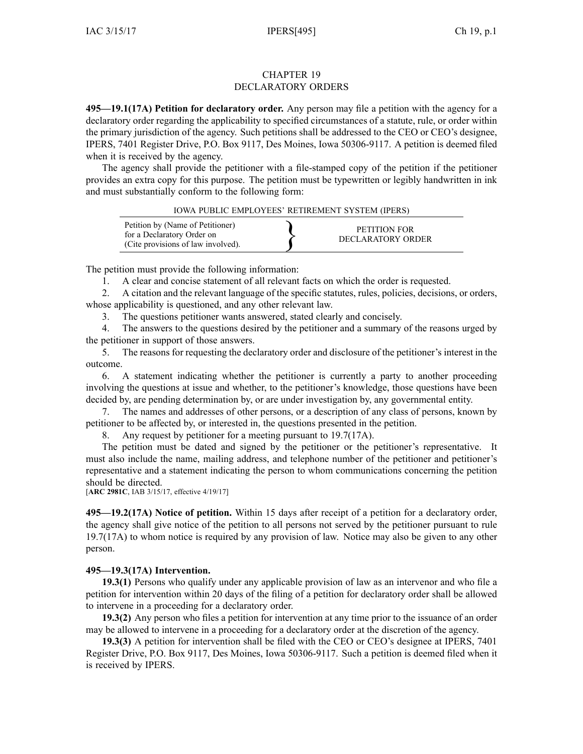### CHAPTER 19 DECLARATORY ORDERS

**495—19.1(17A) Petition for declaratory order.** Any person may file <sup>a</sup> petition with the agency for <sup>a</sup> declaratory order regarding the applicability to specified circumstances of <sup>a</sup> statute, rule, or order within the primary jurisdiction of the agency. Such petitions shall be addressed to the CEO or CEO's designee, IPERS, 7401 Register Drive, P.O. Box 9117, Des Moines, Iowa 50306-9117. A petition is deemed filed when it is received by the agency.

The agency shall provide the petitioner with <sup>a</sup> file-stamped copy of the petition if the petitioner provides an extra copy for this purpose. The petition must be typewritten or legibly handwritten in ink and must substantially conform to the following form:

IOWA PUBLIC EMPLOYEES' RETIREMENT SYSTEM (IPERS)

| Petition by (Name of Petitioner)<br>for a Declaratory Order on<br>(Cite provisions of law involved). |  | PETITION FOR<br>DECLARATORY ORDER |
|------------------------------------------------------------------------------------------------------|--|-----------------------------------|
|------------------------------------------------------------------------------------------------------|--|-----------------------------------|

The petition must provide the following information:

1. A clear and concise statement of all relevant facts on which the order is requested.

2. A citation and the relevant language of the specific statutes, rules, policies, decisions, or orders, whose applicability is questioned, and any other relevant law.

3. The questions petitioner wants answered, stated clearly and concisely.

4. The answers to the questions desired by the petitioner and <sup>a</sup> summary of the reasons urged by the petitioner in suppor<sup>t</sup> of those answers.

5. The reasons for requesting the declaratory order and disclosure of the petitioner's interest in the outcome.

6. A statement indicating whether the petitioner is currently <sup>a</sup> party to another proceeding involving the questions at issue and whether, to the petitioner's knowledge, those questions have been decided by, are pending determination by, or are under investigation by, any governmental entity.

7. The names and addresses of other persons, or <sup>a</sup> description of any class of persons, known by petitioner to be affected by, or interested in, the questions presented in the petition.

8. Any reques<sup>t</sup> by petitioner for <sup>a</sup> meeting pursuan<sup>t</sup> to 19.7(17A).

The petition must be dated and signed by the petitioner or the petitioner's representative. It must also include the name, mailing address, and telephone number of the petitioner and petitioner's representative and <sup>a</sup> statement indicating the person to whom communications concerning the petition should be directed.

[**ARC [2981C](https://www.legis.iowa.gov/docs/aco/arc/2981C.pdf)**, IAB 3/15/17, effective 4/19/17]

**495—19.2(17A) Notice of petition.** Within 15 days after receipt of <sup>a</sup> petition for <sup>a</sup> declaratory order, the agency shall give notice of the petition to all persons not served by the petitioner pursuan<sup>t</sup> to [rule](https://www.legis.iowa.gov/docs/iac/rule/495.19.7.pdf) [19.7\(17A\)](https://www.legis.iowa.gov/docs/iac/rule/495.19.7.pdf) to whom notice is required by any provision of law. Notice may also be given to any other person.

# **495—19.3(17A) Intervention.**

**19.3(1)** Persons who qualify under any applicable provision of law as an intervenor and who file <sup>a</sup> petition for intervention within 20 days of the filing of <sup>a</sup> petition for declaratory order shall be allowed to intervene in <sup>a</sup> proceeding for <sup>a</sup> declaratory order.

**19.3(2)** Any person who files <sup>a</sup> petition for intervention at any time prior to the issuance of an order may be allowed to intervene in <sup>a</sup> proceeding for <sup>a</sup> declaratory order at the discretion of the agency.

**19.3(3)** A petition for intervention shall be filed with the CEO or CEO's designee at IPERS, 7401 Register Drive, P.O. Box 9117, Des Moines, Iowa 50306-9117. Such <sup>a</sup> petition is deemed filed when it is received by IPERS.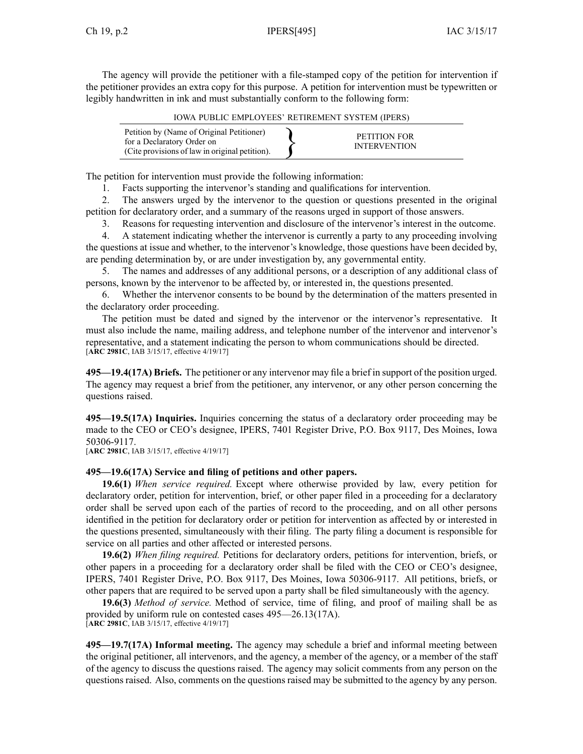The agency will provide the petitioner with <sup>a</sup> file-stamped copy of the petition for intervention if the petitioner provides an extra copy for this purpose. A petition for intervention must be typewritten or legibly handwritten in ink and must substantially conform to the following form:

IOWA PUBLIC EMPLOYEES' RETIREMENT SYSTEM (IPERS)

| Petition by (Name of Original Petitioner)<br>for a Declaratory Order on<br>(Cite provisions of law in original petition). | PETITION FOR<br><b>INTERVENTION</b> |
|---------------------------------------------------------------------------------------------------------------------------|-------------------------------------|
|---------------------------------------------------------------------------------------------------------------------------|-------------------------------------|

The petition for intervention must provide the following information:

1. Facts supporting the intervenor's standing and qualifications for intervention.

2. The answers urged by the intervenor to the question or questions presented in the original petition for declaratory order, and <sup>a</sup> summary of the reasons urged in suppor<sup>t</sup> of those answers.

3. Reasons for requesting intervention and disclosure of the intervenor's interest in the outcome.

4. A statement indicating whether the intervenor is currently <sup>a</sup> party to any proceeding involving the questions at issue and whether, to the intervenor's knowledge, those questions have been decided by, are pending determination by, or are under investigation by, any governmental entity.

5. The names and addresses of any additional persons, or <sup>a</sup> description of any additional class of persons, known by the intervenor to be affected by, or interested in, the questions presented.

6. Whether the intervenor consents to be bound by the determination of the matters presented in the declaratory order proceeding.

The petition must be dated and signed by the intervenor or the intervenor's representative. It must also include the name, mailing address, and telephone number of the intervenor and intervenor's representative, and <sup>a</sup> statement indicating the person to whom communications should be directed. [**ARC [2981C](https://www.legis.iowa.gov/docs/aco/arc/2981C.pdf)**, IAB 3/15/17, effective 4/19/17]

**495—19.4(17A) Briefs.** The petitioner or any intervenor may file <sup>a</sup> brief in suppor<sup>t</sup> of the position urged. The agency may reques<sup>t</sup> <sup>a</sup> brief from the petitioner, any intervenor, or any other person concerning the questions raised.

**495—19.5(17A) Inquiries.** Inquiries concerning the status of <sup>a</sup> declaratory order proceeding may be made to the CEO or CEO's designee, IPERS, 7401 Register Drive, P.O. Box 9117, Des Moines, Iowa 50306-9117.

[**ARC [2981C](https://www.legis.iowa.gov/docs/aco/arc/2981C.pdf)**, IAB 3/15/17, effective 4/19/17]

#### **495—19.6(17A) Service and filing of petitions and other papers.**

**19.6(1)** *When service required.* Except where otherwise provided by law, every petition for declaratory order, petition for intervention, brief, or other paper filed in <sup>a</sup> proceeding for <sup>a</sup> declaratory order shall be served upon each of the parties of record to the proceeding, and on all other persons identified in the petition for declaratory order or petition for intervention as affected by or interested in the questions presented, simultaneously with their filing. The party filing <sup>a</sup> document is responsible for service on all parties and other affected or interested persons.

**19.6(2)** *When filing required.* Petitions for declaratory orders, petitions for intervention, briefs, or other papers in <sup>a</sup> proceeding for <sup>a</sup> declaratory order shall be filed with the CEO or CEO's designee, IPERS, 7401 Register Drive, P.O. Box 9117, Des Moines, Iowa 50306-9117. All petitions, briefs, or other papers that are required to be served upon <sup>a</sup> party shall be filed simultaneously with the agency.

**19.6(3)** *Method of service.* Method of service, time of filing, and proof of mailing shall be as provided by uniform rule on contested cases [495—26.13\(17A\)](https://www.legis.iowa.gov/docs/iac/rule/495.26.13.pdf). [**ARC [2981C](https://www.legis.iowa.gov/docs/aco/arc/2981C.pdf)**, IAB 3/15/17, effective 4/19/17]

**495—19.7(17A) Informal meeting.** The agency may schedule <sup>a</sup> brief and informal meeting between the original petitioner, all intervenors, and the agency, <sup>a</sup> member of the agency, or <sup>a</sup> member of the staff of the agency to discuss the questions raised. The agency may solicit comments from any person on the questions raised. Also, comments on the questions raised may be submitted to the agency by any person.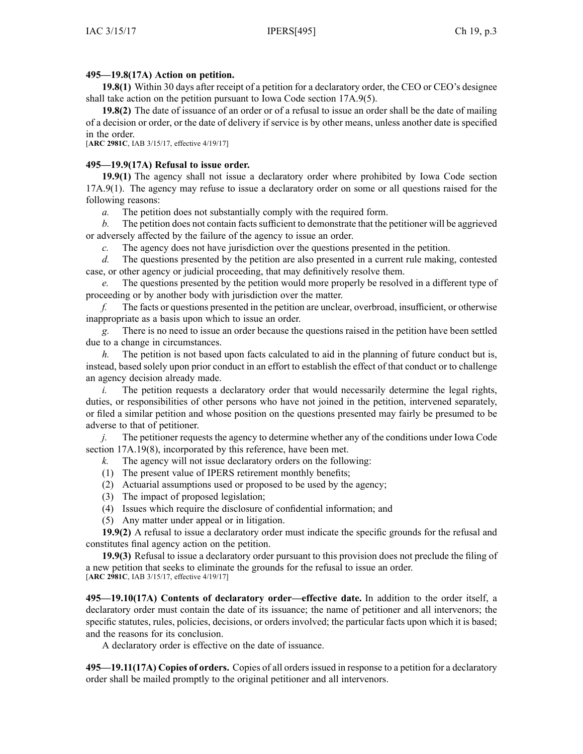## **495—19.8(17A) Action on petition.**

**19.8(1)** Within 30 days after receipt of <sup>a</sup> petition for <sup>a</sup> declaratory order, the CEO or CEO's designee shall take action on the petition pursuan<sup>t</sup> to Iowa Code section [17A.9\(5\)](https://www.legis.iowa.gov/docs/ico/section/17A.9.pdf).

**19.8(2)** The date of issuance of an order or of <sup>a</sup> refusal to issue an order shall be the date of mailing of <sup>a</sup> decision or order, or the date of delivery if service is by other means, unless another date is specified in the order.

[**ARC [2981C](https://www.legis.iowa.gov/docs/aco/arc/2981C.pdf)**, IAB 3/15/17, effective 4/19/17]

# **495—19.9(17A) Refusal to issue order.**

**19.9(1)** The agency shall not issue <sup>a</sup> declaratory order where prohibited by Iowa Code section [17A.9\(1\)](https://www.legis.iowa.gov/docs/ico/section/17A.9.pdf). The agency may refuse to issue <sup>a</sup> declaratory order on some or all questions raised for the following reasons:

*a.* The petition does not substantially comply with the required form.

*b.* The petition does not contain facts sufficient to demonstrate that the petitioner will be aggrieved or adversely affected by the failure of the agency to issue an order.

*c.* The agency does not have jurisdiction over the questions presented in the petition.

*d.* The questions presented by the petition are also presented in <sup>a</sup> current rule making, contested case, or other agency or judicial proceeding, that may definitively resolve them.

*e.* The questions presented by the petition would more properly be resolved in <sup>a</sup> different type of proceeding or by another body with jurisdiction over the matter.

*f.* The facts or questions presented in the petition are unclear, overbroad, insufficient, or otherwise inappropriate as <sup>a</sup> basis upon which to issue an order.

*g.* There is no need to issue an order because the questions raised in the petition have been settled due to <sup>a</sup> change in circumstances.

*h.* The petition is not based upon facts calculated to aid in the planning of future conduct but is, instead, based solely upon prior conduct in an effort to establish the effect of that conduct or to challenge an agency decision already made.

*i.* The petition requests a declaratory order that would necessarily determine the legal rights, duties, or responsibilities of other persons who have not joined in the petition, intervened separately, or filed <sup>a</sup> similar petition and whose position on the questions presented may fairly be presumed to be adverse to that of petitioner.

*j.* The petitioner requests the agency to determine whether any of the conditions under Iowa Code section [17A.19\(8\)](https://www.legis.iowa.gov/docs/ico/section/17A.19.pdf), incorporated by this reference, have been met.

- *k.* The agency will not issue declaratory orders on the following:
- (1) The presen<sup>t</sup> value of IPERS retirement monthly benefits;
- (2) Actuarial assumptions used or proposed to be used by the agency;
- (3) The impact of proposed legislation;
- (4) Issues which require the disclosure of confidential information; and
- (5) Any matter under appeal or in litigation.

**19.9(2)** A refusal to issue <sup>a</sup> declaratory order must indicate the specific grounds for the refusal and constitutes final agency action on the petition.

**19.9(3)** Refusal to issue <sup>a</sup> declaratory order pursuan<sup>t</sup> to this provision does not preclude the filing of <sup>a</sup> new petition that seeks to eliminate the grounds for the refusal to issue an order. [**ARC [2981C](https://www.legis.iowa.gov/docs/aco/arc/2981C.pdf)**, IAB 3/15/17, effective 4/19/17]

**495—19.10(17A) Contents of declaratory order—effective date.** In addition to the order itself, <sup>a</sup> declaratory order must contain the date of its issuance; the name of petitioner and all intervenors; the specific statutes, rules, policies, decisions, or orders involved; the particular facts upon which it is based; and the reasons for its conclusion.

A declaratory order is effective on the date of issuance.

**495—19.11(17A) Copies of orders.** Copies of all ordersissued in response to <sup>a</sup> petition for <sup>a</sup> declaratory order shall be mailed promptly to the original petitioner and all intervenors.